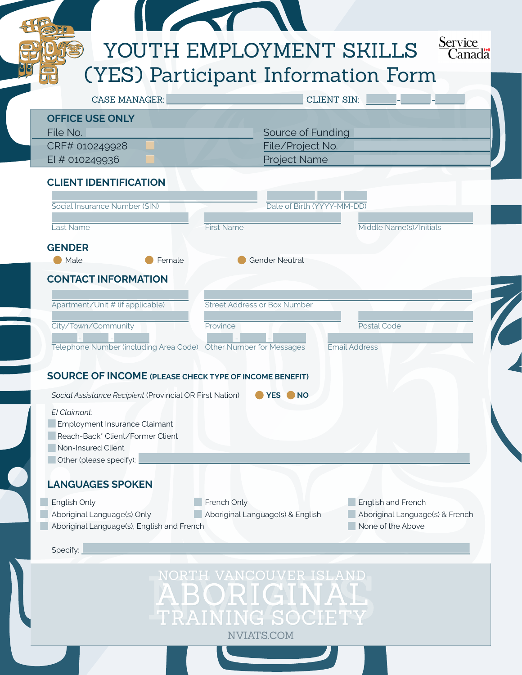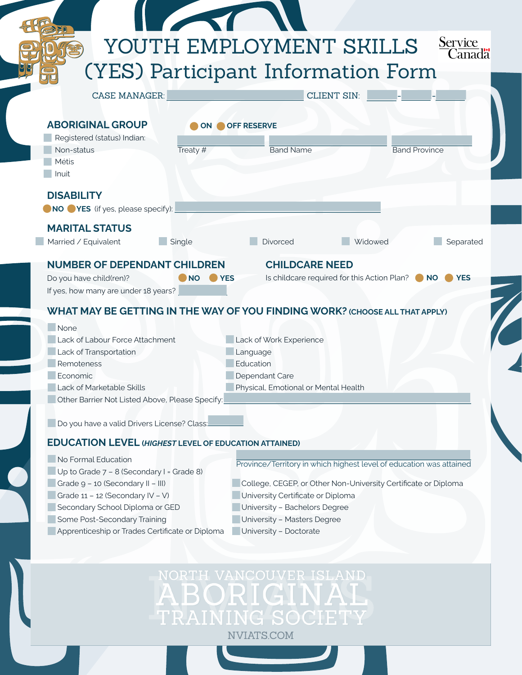|                                                              | Service<br>YOUTH EMPLOYMENT SKILLS                                                        |
|--------------------------------------------------------------|-------------------------------------------------------------------------------------------|
|                                                              | Canadä                                                                                    |
|                                                              | (YES) Participant Information Form                                                        |
| <b>CASE MANAGER:</b>                                         | <b>CLIENT SIN:</b>                                                                        |
|                                                              |                                                                                           |
| <b>ABORIGINAL GROUP</b><br>ON.                               | <b>OFF RESERVE</b>                                                                        |
| Registered (status) Indian:<br>Non-status<br>Treaty $#$      | <b>Band Name</b><br><b>Band Province</b>                                                  |
| Métis                                                        |                                                                                           |
| Inuit                                                        |                                                                                           |
| <b>DISABILITY</b>                                            |                                                                                           |
| NO YES (if yes, please specify):                             |                                                                                           |
| <b>MARITAL STATUS</b>                                        |                                                                                           |
| Married / Equivalent<br>Single                               | <b>Divorced</b><br>Widowed<br>Separated                                                   |
|                                                              |                                                                                           |
| <b>NUMBER OF DEPENDANT CHILDREN</b>                          | <b>CHILDCARE NEED</b>                                                                     |
| Do you have child(ren)?<br><b>NO</b>                         | Is childcare required for this Action Plan? $\bigcirc$ NO<br><b>NO</b> YES<br><b>TYES</b> |
| If yes, how many are under 18 years?                         |                                                                                           |
|                                                              | WHAT MAY BE GETTING IN THE WAY OF YOU FINDING WORK? (CHOOSE ALL THAT APPLY)               |
| None                                                         |                                                                                           |
| Lack of Labour Force Attachment                              | Lack of Work Experience                                                                   |
| Lack of Transportation<br>Remoteness                         | Language<br>Education                                                                     |
| Economic                                                     | Dependant Care                                                                            |
| Lack of Marketable Skills                                    | Physical, Emotional or Mental Health                                                      |
| Other Barrier Not Listed Above, Please Specify:              |                                                                                           |
|                                                              |                                                                                           |
| Do you have a valid Drivers License? Class:                  |                                                                                           |
| <b>EDUCATION LEVEL (HIGHEST LEVEL OF EDUCATION ATTAINED)</b> |                                                                                           |
| No Formal Education                                          | Province/Territory in which highest level of education was attained                       |
| Up to Grade 7 - 8 (Secondary I = Grade 8)                    |                                                                                           |
| Grade 9 - 10 (Secondary II - III)                            | College, CEGEP, or Other Non-University Certificate or Diploma                            |
| Grade 11 - 12 (Secondary IV - V)                             | University Certificate or Diploma                                                         |
| Secondary School Diploma or GED                              | University - Bachelors Degree                                                             |
| Some Post-Secondary Training                                 | University - Masters Degree                                                               |
| Apprenticeship or Trades Certificate or Diploma              | University - Doctorate                                                                    |

NORTH VANCOUVER ISLAND<br>ABORIGINAL<br>TRAINING SOCIETY NVIATS.COM